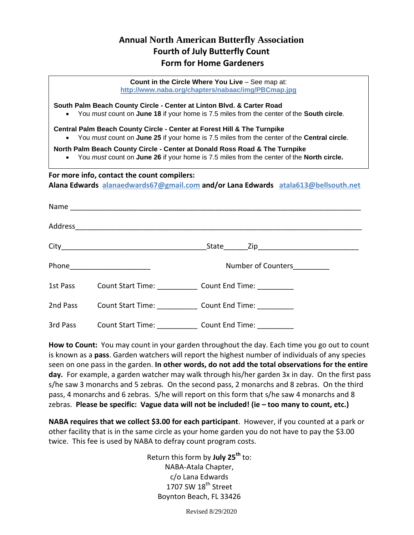## **Annual North American Butterfly Association Fourth of July Butterfly Count Form for Home Gardeners**

| Count in the Circle Where You Live - See map at:<br>http://www.naba.org/chapters/nabaac/img/PBCmap.jpg                                                                              |                            |                                                                                                                                                                                  |  |  |  |  |  |
|-------------------------------------------------------------------------------------------------------------------------------------------------------------------------------------|----------------------------|----------------------------------------------------------------------------------------------------------------------------------------------------------------------------------|--|--|--|--|--|
| South Palm Beach County Circle - Center at Linton Blvd. & Carter Road<br>• You must count on June 18 if your home is 7.5 miles from the center of the South circle.                 |                            |                                                                                                                                                                                  |  |  |  |  |  |
| $\bullet$                                                                                                                                                                           |                            | <b>Central Palm Beach County Circle - Center at Forest Hill &amp; The Turnpike</b><br>You must count on June 25 if your home is 7.5 miles from the center of the Central circle. |  |  |  |  |  |
| North Palm Beach County Circle - Center at Donald Ross Road & The Turnpike<br>You must count on June 26 if your home is 7.5 miles from the center of the North circle.<br>$\bullet$ |                            |                                                                                                                                                                                  |  |  |  |  |  |
| For more info, contact the count compilers:<br>Alana Edwards alanaedwards67@gmail.com and/or Lana Edwards atala613@bellsouth.net                                                    |                            |                                                                                                                                                                                  |  |  |  |  |  |
|                                                                                                                                                                                     |                            |                                                                                                                                                                                  |  |  |  |  |  |
|                                                                                                                                                                                     |                            |                                                                                                                                                                                  |  |  |  |  |  |
|                                                                                                                                                                                     |                            |                                                                                                                                                                                  |  |  |  |  |  |
|                                                                                                                                                                                     | Phone ____________________ | Number of Counters                                                                                                                                                               |  |  |  |  |  |
|                                                                                                                                                                                     |                            | 1st Pass Count Start Time: Count End Time:                                                                                                                                       |  |  |  |  |  |
| 2nd Pass                                                                                                                                                                            |                            | Count Start Time: Count End Time: Count End Time:                                                                                                                                |  |  |  |  |  |
| 3rd Pass                                                                                                                                                                            |                            | Count Start Time: _______________ Count End Time: ___________                                                                                                                    |  |  |  |  |  |

**How to Count:** You may count in your garden throughout the day. Each time you go out to count is known as a **pass**. Garden watchers will report the highest number of individuals of any species seen on one pass in the garden. **In other words, do not add the total observations for the entire day.** For example, a garden watcher may walk through his/her garden 3x in day. On the first pass s/he saw 3 monarchs and 5 zebras. On the second pass, 2 monarchs and 8 zebras. On the third pass, 4 monarchs and 6 zebras. S/he will report on this form that s/he saw 4 monarchs and 8 zebras. **Please be specific: Vague data will not be included! (ie – too many to count, etc.)** 

**NABA requires that we collect \$3.00 for each participant**. However, if you counted at a park or other facility that is in the same circle as your home garden you do not have to pay the \$3.00 twice. This fee is used by NABA to defray count program costs.

> Return this form by **July 25th** to: NABA-Atala Chapter, c/o Lana Edwards 1707 SW  $18<sup>th</sup>$  Street Boynton Beach, FL 33426

> > Revised 8/29/2020